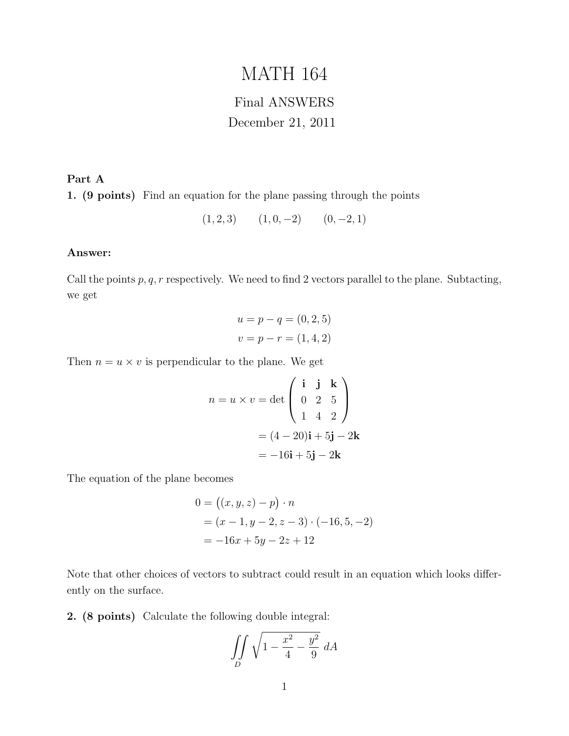# MATH 164

## Final ANSWERS December 21, 2011

Part A 1. (9 points) Find an equation for the plane passing through the points

$$
(1,2,3) \qquad (1,0,-2) \qquad (0,-2,1)
$$

### Answer:

Call the points  $p, q, r$  respectively. We need to find 2 vectors parallel to the plane. Subtacting, we get

$$
u = p - q = (0, 2, 5)
$$
  

$$
v = p - r = (1, 4, 2)
$$

Then  $n = u \times v$  is perpendicular to the plane. We get

$$
n = u \times v = \det \begin{pmatrix} \mathbf{i} & \mathbf{j} & \mathbf{k} \\ 0 & 2 & 5 \\ 1 & 4 & 2 \end{pmatrix}
$$

$$
= (4 - 20)\mathbf{i} + 5\mathbf{j} - 2\mathbf{k}
$$

$$
= -16\mathbf{i} + 5\mathbf{j} - 2\mathbf{k}
$$

The equation of the plane becomes

$$
0 = ((x, y, z) - p) \cdot n
$$
  
= (x - 1, y - 2, z - 3) \cdot (-16, 5, -2)  
= -16x + 5y - 2z + 12

Note that other choices of vectors to subtract could result in an equation which looks differently on the surface.

2. (8 points) Calculate the following double integral:

$$
\iint\limits_D \sqrt{1 - \frac{x^2}{4} - \frac{y^2}{9}} dA
$$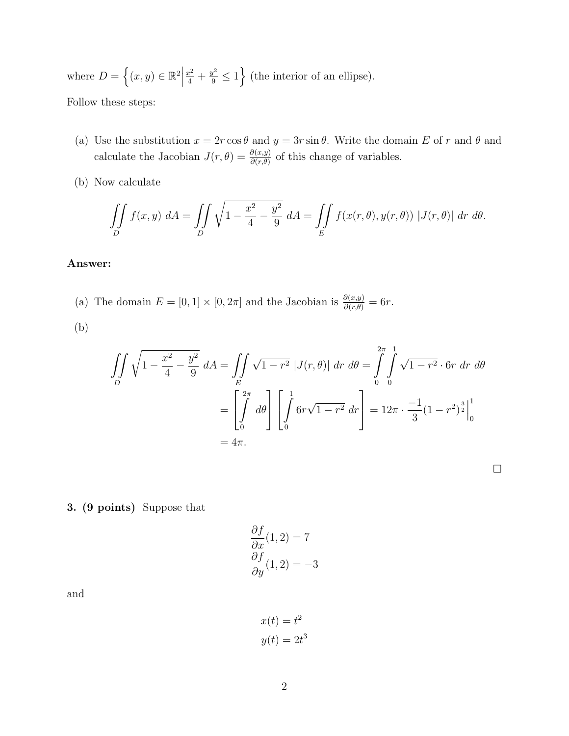where  $D = \{(x, y) \in \mathbb{R}^2 \mid$  $\left\lfloor \frac{x^2}{4} + \frac{y^2}{9} \le 1 \right\rfloor$  (the interior of an ellipse).

Follow these steps:

- (a) Use the substitution  $x = 2r \cos \theta$  and  $y = 3r \sin \theta$ . Write the domain E of r and  $\theta$  and calculate the Jacobian  $J(r, \theta) = \frac{\partial(x, y)}{\partial(r, \theta)}$  of this change of variables.
- (b) Now calculate

$$
\iint\limits_{D} f(x,y) dA = \iint\limits_{D} \sqrt{1 - \frac{x^2}{4} - \frac{y^2}{9}} dA = \iint\limits_{E} f(x(r,\theta),y(r,\theta)) |J(r,\theta)| dr d\theta.
$$

### Answer:

(a) The domain  $E = [0, 1] \times [0, 2\pi]$  and the Jacobian is  $\frac{\partial(x, y)}{\partial(r, \theta)} = 6r$ .

(b)

$$
\iint_{D} \sqrt{1 - \frac{x^2}{4} - \frac{y^2}{9}} dA = \iint_{E} \sqrt{1 - r^2} |J(r, \theta)| dr d\theta = \int_{0}^{2\pi} \int_{0}^{1} \sqrt{1 - r^2} \cdot 6r dr d\theta
$$

$$
= \left[ \int_{0}^{2\pi} d\theta \right] \left[ \int_{0}^{1} 6r\sqrt{1 - r^2} dr \right] = 12\pi \cdot \frac{-1}{3} (1 - r^2)^{\frac{3}{2}} \Big|_{0}^{1}
$$

$$
= 4\pi.
$$

3. (9 points) Suppose that

$$
\frac{\partial f}{\partial x}(1,2) = 7
$$

$$
\frac{\partial f}{\partial y}(1,2) = -3
$$

and

$$
x(t) = t2
$$

$$
y(t) = 2t3
$$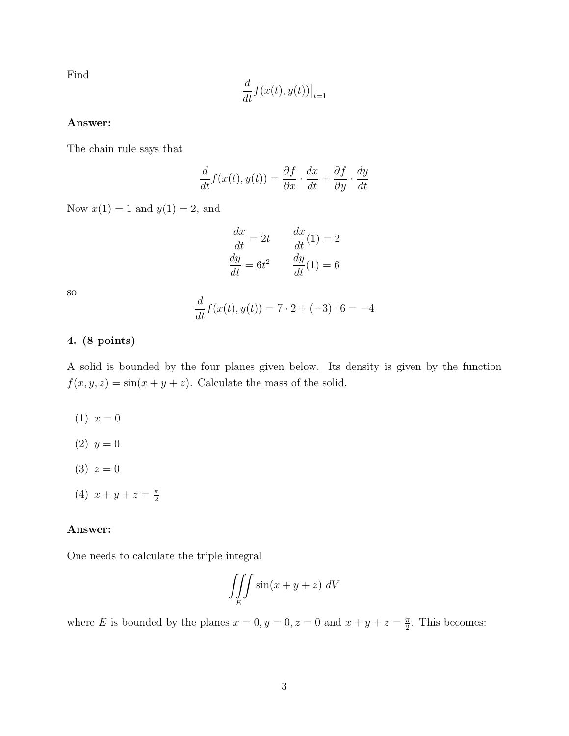Find

$$
\frac{d}{dt}f(x(t),y(t))\big|_{t=1}
$$

### Answer:

The chain rule says that

$$
\frac{d}{dt}f(x(t), y(t)) = \frac{\partial f}{\partial x} \cdot \frac{dx}{dt} + \frac{\partial f}{\partial y} \cdot \frac{dy}{dt}
$$

Now  $x(1) = 1$  and  $y(1) = 2$ , and

$$
\frac{dx}{dt} = 2t \qquad \frac{dx}{dt}(1) = 2
$$

$$
\frac{dy}{dt} = 6t^2 \qquad \frac{dy}{dt}(1) = 6
$$

so

$$
\frac{d}{dt}f(x(t), y(t)) = 7 \cdot 2 + (-3) \cdot 6 = -4
$$

### 4. (8 points)

A solid is bounded by the four planes given below. Its density is given by the function  $f(x, y, z) = \sin(x + y + z)$ . Calculate the mass of the solid.

- $(1) x = 0$
- $(2)$   $y = 0$
- $(3) z = 0$
- (4)  $x + y + z = \frac{\pi}{2}$ 2

#### Answer:

One needs to calculate the triple integral

$$
\iiint\limits_E \sin(x+y+z) \ dV
$$

where E is bounded by the planes  $x = 0, y = 0, z = 0$  and  $x + y + z = \frac{\pi}{2}$  $\frac{\pi}{2}$ . This becomes: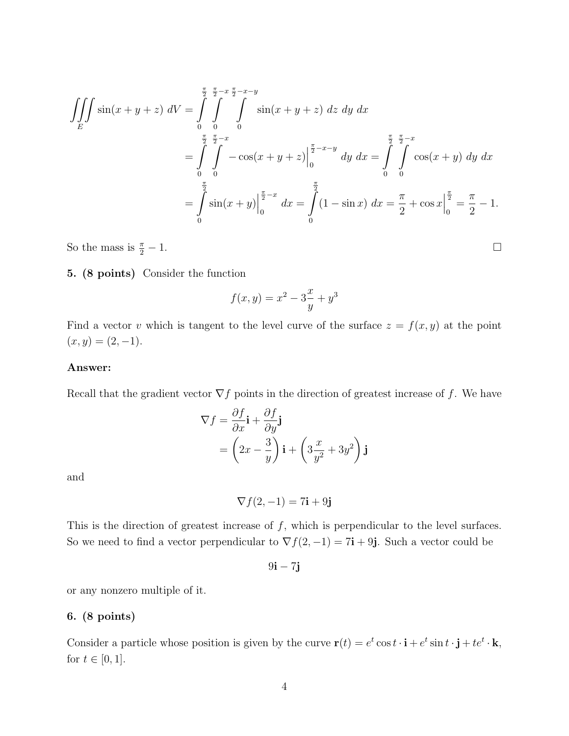$$
\iiint_E \sin(x+y+z) \ dV = \int_0^{\frac{\pi}{2}} \int_0^{\frac{\pi}{2}-x} \int_0^{\frac{\pi}{2}-x-y} \sin(x+y+z) \ dz \ dy \ dx
$$

$$
= \int_0^{\frac{\pi}{2}} \int_0^{\frac{\pi}{2}-x} -\cos(x+y+z) \Big|_0^{\frac{\pi}{2}-x-y} \ dy \ dx = \int_0^{\frac{\pi}{2}} \int_0^{\frac{\pi}{2}-x} \cos(x+y) \ dy \ dx
$$

$$
= \int_0^{\frac{\pi}{2}} \sin(x+y) \Big|_0^{\frac{\pi}{2}-x} \ dx = \int_0^{\frac{\pi}{2}} (1-\sin x) \ dx = \frac{\pi}{2} + \cos x \Big|_0^{\frac{\pi}{2}} = \frac{\pi}{2} - 1.
$$

So the mass is  $\frac{\pi}{2} - 1$ .  $\frac{\pi}{2} - 1.$ 

### 5. (8 points) Consider the function

$$
f(x, y) = x^2 - 3\frac{x}{y} + y^3
$$

Find a vector v which is tangent to the level curve of the surface  $z = f(x, y)$  at the point  $(x, y) = (2, -1).$ 

### Answer:

Recall that the gradient vector  $\nabla f$  points in the direction of greatest increase of f. We have

$$
\nabla f = \frac{\partial f}{\partial x}\mathbf{i} + \frac{\partial f}{\partial y}\mathbf{j}
$$
  
=  $\left(2x - \frac{3}{y}\right)\mathbf{i} + \left(3\frac{x}{y^2} + 3y^2\right)\mathbf{j}$ 

and

 $\nabla f(2, -1) = 7i + 9j$ 

This is the direction of greatest increase of  $f$ , which is perpendicular to the level surfaces. So we need to find a vector perpendicular to  $\nabla f(2, -1) = 7i + 9j$ . Such a vector could be

 $9i - 7j$ 

or any nonzero multiple of it.

### 6. (8 points)

Consider a particle whose position is given by the curve  $\mathbf{r}(t) = e^t \cos t \cdot \mathbf{i} + e^t \sin t \cdot \mathbf{j} + te^t \cdot \mathbf{k}$ , for  $t \in [0, 1]$ .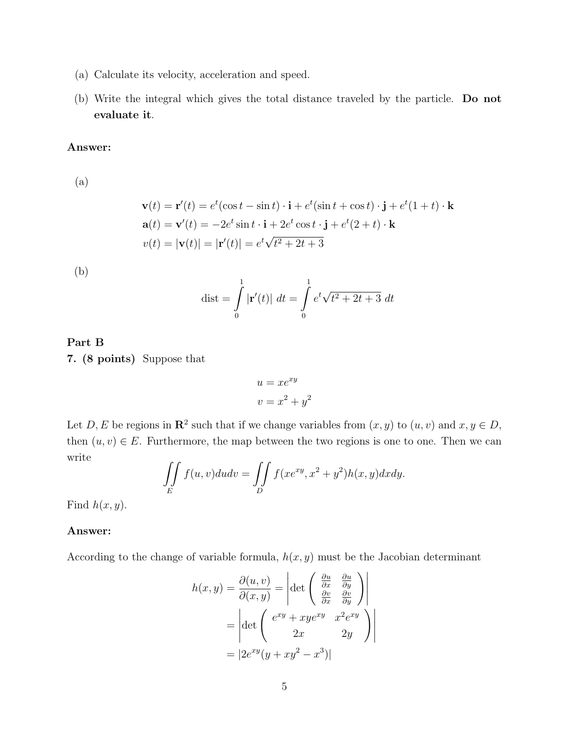- (a) Calculate its velocity, acceleration and speed.
- (b) Write the integral which gives the total distance traveled by the particle. Do not evaluate it.

### Answer:

(a)

$$
\mathbf{v}(t) = \mathbf{r}'(t) = e^t(\cos t - \sin t) \cdot \mathbf{i} + e^t(\sin t + \cos t) \cdot \mathbf{j} + e^t(1+t) \cdot \mathbf{k}
$$
  
\n
$$
\mathbf{a}(t) = \mathbf{v}'(t) = -2e^t \sin t \cdot \mathbf{i} + 2e^t \cos t \cdot \mathbf{j} + e^t(2+t) \cdot \mathbf{k}
$$
  
\n
$$
v(t) = |\mathbf{v}(t)| = |\mathbf{r}'(t)| = e^t \sqrt{t^2 + 2t + 3}
$$

(b)

$$
\text{dist} = \int_{0}^{1} |\mathbf{r}'(t)| \ dt = \int_{0}^{1} e^{t} \sqrt{t^2 + 2t + 3} \ dt
$$

### Part B 7. (8 points) Suppose that

$$
u = xe^{xy}
$$

$$
v = x^2 + y^2
$$

Let D, E be regions in  $\mathbb{R}^2$  such that if we change variables from  $(x, y)$  to  $(u, v)$  and  $x, y \in D$ , then  $(u, v) \in E$ . Furthermore, the map between the two regions is one to one. Then we can write

$$
\iint\limits_E f(u,v)dudv = \iint\limits_D f(xe^{xy}, x^2 + y^2)h(x,y)dxdy.
$$

Find  $h(x, y)$ .

### Answer:

According to the change of variable formula,  $h(x, y)$  must be the Jacobian determinant

$$
h(x,y) = \frac{\partial(u,v)}{\partial(x,y)} = \left| \det \begin{pmatrix} \frac{\partial u}{\partial x} & \frac{\partial u}{\partial y} \\ \frac{\partial v}{\partial x} & \frac{\partial v}{\partial y} \end{pmatrix} \right|
$$
  
=  $\left| \det \begin{pmatrix} e^{xy} + xye^{xy} & x^2e^{xy} \\ 2x & 2y \end{pmatrix} \right|$   
=  $|2e^{xy}(y + xy^2 - x^3)|$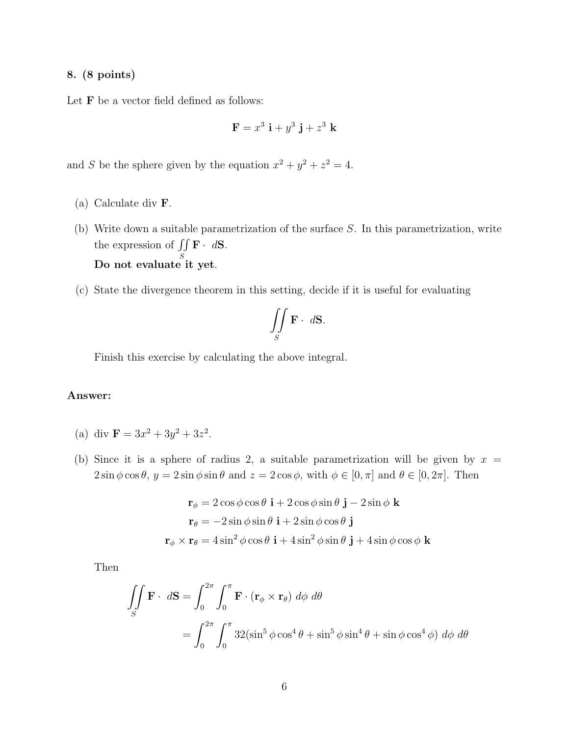### 8. (8 points)

Let  $F$  be a vector field defined as follows:

$$
\mathbf{F} = x^3 \mathbf{i} + y^3 \mathbf{j} + z^3 \mathbf{k}
$$

and S be the sphere given by the equation  $x^2 + y^2 + z^2 = 4$ .

- (a) Calculate div F.
- (b) Write down a suitable parametrization of the surface S. In this parametrization, write the expression of  $\int$ S  $\mathbf{F} \cdot d\mathbf{S}$ . Do not evaluate it yet.
- (c) State the divergence theorem in this setting, decide if it is useful for evaluating

$$
\iint\limits_{S} \mathbf{F} \cdot d\mathbf{S}.
$$

Finish this exercise by calculating the above integral.

### Answer:

- (a) div  $\mathbf{F} = 3x^2 + 3y^2 + 3z^2$ .
- (b) Since it is a sphere of radius 2, a suitable parametrization will be given by  $x =$  $2\sin\phi\cos\theta$ ,  $y = 2\sin\phi\sin\theta$  and  $z = 2\cos\phi$ , with  $\phi \in [0, \pi]$  and  $\theta \in [0, 2\pi]$ . Then

$$
\mathbf{r}_{\phi} = 2\cos\phi\cos\theta \mathbf{i} + 2\cos\phi\sin\theta \mathbf{j} - 2\sin\phi \mathbf{k}
$$
  

$$
\mathbf{r}_{\theta} = -2\sin\phi\sin\theta \mathbf{i} + 2\sin\phi\cos\theta \mathbf{j}
$$
  

$$
\mathbf{r}_{\phi} \times \mathbf{r}_{\theta} = 4\sin^{2}\phi\cos\theta \mathbf{i} + 4\sin^{2}\phi\sin\theta \mathbf{j} + 4\sin\phi\cos\phi \mathbf{k}
$$

Then

$$
\iint_{S} \mathbf{F} \cdot d\mathbf{S} = \int_{0}^{2\pi} \int_{0}^{\pi} \mathbf{F} \cdot (\mathbf{r}_{\phi} \times \mathbf{r}_{\theta}) d\phi d\theta
$$

$$
= \int_{0}^{2\pi} \int_{0}^{\pi} 32(\sin^{5} \phi \cos^{4} \theta + \sin^{5} \phi \sin^{4} \theta + \sin \phi \cos^{4} \phi) d\phi d\theta
$$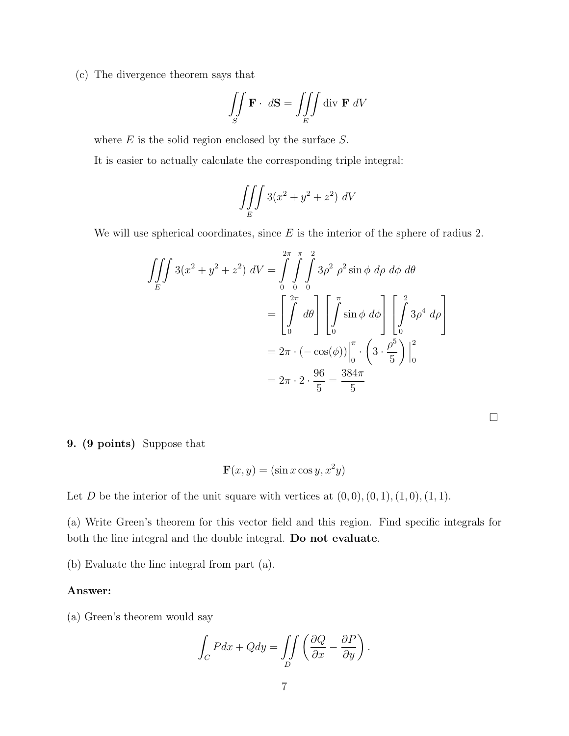(c) The divergence theorem says that

$$
\iint\limits_{S} \mathbf{F} \cdot d\mathbf{S} = \iiint\limits_{E} \text{div } \mathbf{F} \ dV
$$

where  $E$  is the solid region enclosed by the surface  $S$ .

It is easier to actually calculate the corresponding triple integral:

$$
\iiint\limits_E 3(x^2 + y^2 + z^2) dV
$$

We will use spherical coordinates, since  $E$  is the interior of the sphere of radius 2.

$$
\iiint_E 3(x^2 + y^2 + z^2) dV = \int_0^{2\pi} \int_0^{\pi} \int_0^2 3\rho^2 \rho^2 \sin \phi \, d\rho \, d\phi \, d\theta
$$

$$
= \left[ \int_0^{2\pi} d\theta \right] \left[ \int_0^{\pi} \sin \phi \, d\phi \right] \left[ \int_0^2 3\rho^4 \, d\rho \right]
$$

$$
= 2\pi \cdot (-\cos(\phi)) \Big|_0^{\pi} \cdot \left( 3 \cdot \frac{\rho^5}{5} \right) \Big|_0^2
$$

$$
= 2\pi \cdot 2 \cdot \frac{96}{5} = \frac{384\pi}{5}
$$

 $\Box$ 

9. (9 points) Suppose that

$$
\mathbf{F}(x, y) = (\sin x \cos y, x^2 y)
$$

Let D be the interior of the unit square with vertices at  $(0, 0), (0, 1), (1, 0), (1, 1)$ .

(a) Write Green's theorem for this vector field and this region. Find specific integrals for both the line integral and the double integral. Do not evaluate.

(b) Evaluate the line integral from part (a).

### Answer:

(a) Green's theorem would say

$$
\int_C Pdx + Qdy = \iint_D \left(\frac{\partial Q}{\partial x} - \frac{\partial P}{\partial y}\right).
$$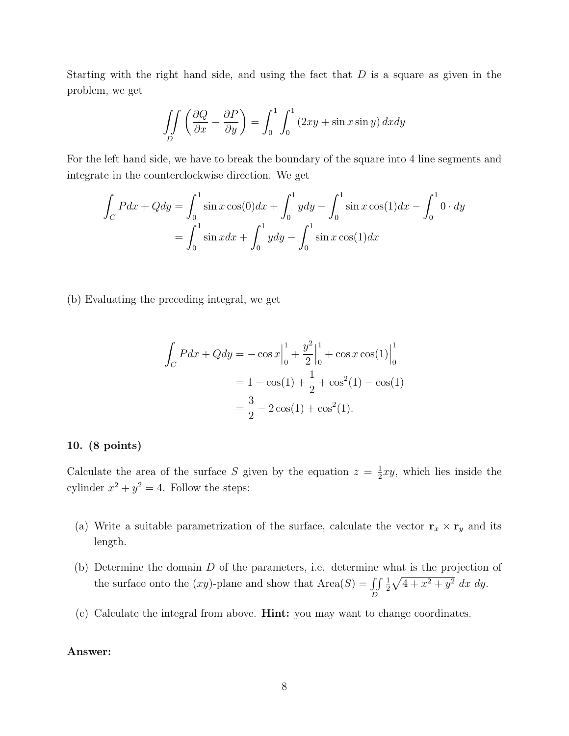Starting with the right hand side, and using the fact that  $D$  is a square as given in the problem, we get

$$
\iint\limits_{D} \left( \frac{\partial Q}{\partial x} - \frac{\partial P}{\partial y} \right) = \int_0^1 \int_0^1 (2xy + \sin x \sin y) \, dx dy
$$

For the left hand side, we have to break the boundary of the square into 4 line segments and integrate in the counterclockwise direction. We get

$$
\int_C Pdx + Qdy = \int_0^1 \sin x \cos(0) dx + \int_0^1 y dy - \int_0^1 \sin x \cos(1) dx - \int_0^1 0 \cdot dy
$$

$$
= \int_0^1 \sin x dx + \int_0^1 y dy - \int_0^1 \sin x \cos(1) dx
$$

(b) Evaluating the preceding integral, we get

$$
\int_C Pdx + Qdy = -\cos x \Big|_0^1 + \frac{y^2}{2} \Big|_0^1 + \cos x \cos(1) \Big|_0^1
$$
  
= 1 - \cos(1) + \frac{1}{2} + \cos^2(1) - \cos(1)  
= \frac{3}{2} - 2\cos(1) + \cos^2(1).

### 10. (8 points)

Calculate the area of the surface S given by the equation  $z = \frac{1}{2}$  $\frac{1}{2}xy$ , which lies inside the cylinder  $x^2 + y^2 = 4$ . Follow the steps:

- (a) Write a suitable parametrization of the surface, calculate the vector  $\mathbf{r}_x \times \mathbf{r}_y$  and its length.
- (b) Determine the domain D of the parameters, i.e. determine what is the projection of the surface onto the  $(xy)$ -plane and show that  $Area(S) = \iint$ D 1  $\frac{1}{2}\sqrt{4+x^2+y^2}$  dx dy.
- (c) Calculate the integral from above. Hint: you may want to change coordinates.

### Answer: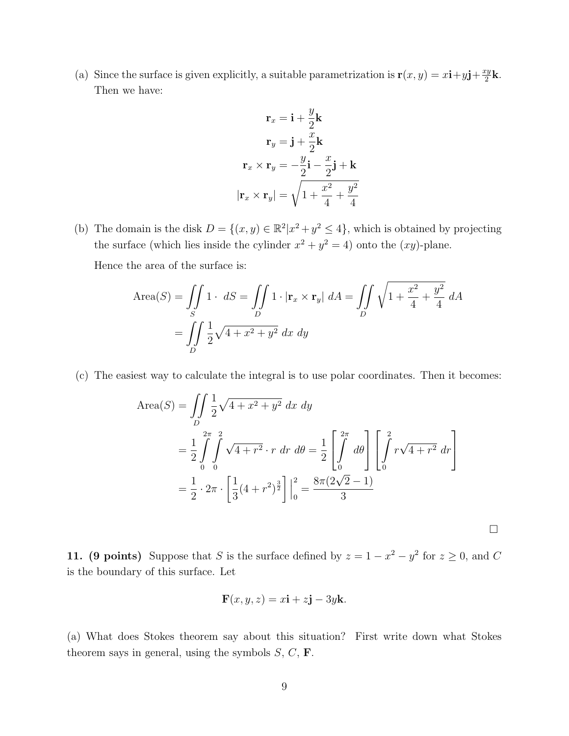(a) Since the surface is given explicitly, a suitable parametrization is  $\mathbf{r}(x, y) = x\mathbf{i} + y\mathbf{j} + \frac{xy}{2}$  $\frac{cy}{2}$ k. Then we have:

$$
\mathbf{r}_x = \mathbf{i} + \frac{y}{2}\mathbf{k}
$$

$$
\mathbf{r}_y = \mathbf{j} + \frac{x}{2}\mathbf{k}
$$

$$
\mathbf{r}_x \times \mathbf{r}_y = -\frac{y}{2}\mathbf{i} - \frac{x}{2}\mathbf{j} + \mathbf{k}
$$

$$
|\mathbf{r}_x \times \mathbf{r}_y| = \sqrt{1 + \frac{x^2}{4} + \frac{y^2}{4}}
$$

(b) The domain is the disk  $D = \{(x, y) \in \mathbb{R}^2 | x^2 + y^2 \leq 4\}$ , which is obtained by projecting the surface (which lies inside the cylinder  $x^2 + y^2 = 4$ ) onto the  $(xy)$ -plane.

Hence the area of the surface is:

$$
\text{Area}(S) = \iint\limits_{S} 1 \cdot dS = \iint\limits_{D} 1 \cdot |\mathbf{r}_x \times \mathbf{r}_y| dA = \iint\limits_{D} \sqrt{1 + \frac{x^2}{4} + \frac{y^2}{4}} dA
$$

$$
= \iint\limits_{D} \frac{1}{2} \sqrt{4 + x^2 + y^2} dx dy
$$

(c) The easiest way to calculate the integral is to use polar coordinates. Then it becomes:

Area(S) = 
$$
\iint_{D} \frac{1}{2} \sqrt{4 + x^2 + y^2} \, dx \, dy
$$
  
= 
$$
\frac{1}{2} \int_{0}^{2\pi} \int_{0}^{2} \sqrt{4 + r^2} \cdot r \, dr \, d\theta = \frac{1}{2} \left[ \int_{0}^{2\pi} d\theta \right] \left[ \int_{0}^{2} r \sqrt{4 + r^2} \, dr \right]
$$
  
= 
$$
\frac{1}{2} \cdot 2\pi \cdot \left[ \frac{1}{3} (4 + r^2)^{\frac{3}{2}} \right] \Big|_{0}^{2} = \frac{8\pi (2\sqrt{2} - 1)}{3}
$$

 $\Box$ 

11. (9 points) Suppose that S is the surface defined by  $z = 1 - x^2 - y^2$  for  $z \ge 0$ , and C is the boundary of this surface. Let

$$
\mathbf{F}(x, y, z) = x\mathbf{i} + z\mathbf{j} - 3y\mathbf{k}.
$$

(a) What does Stokes theorem say about this situation? First write down what Stokes theorem says in general, using the symbols  $S, C, F$ .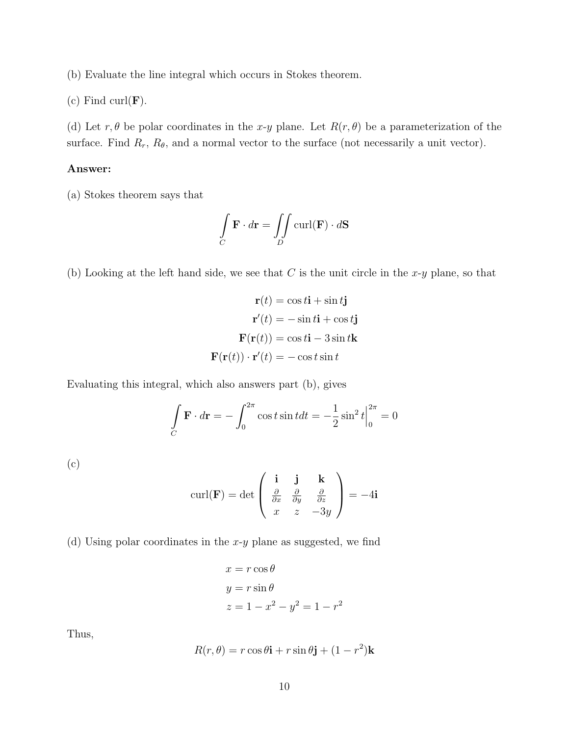(b) Evaluate the line integral which occurs in Stokes theorem.

(c) Find curl $(\mathbf{F})$ .

(d) Let  $r, \theta$  be polar coordinates in the x-y plane. Let  $R(r, \theta)$  be a parameterization of the surface. Find  $R_r$ ,  $R_\theta$ , and a normal vector to the surface (not necessarily a unit vector).

### Answer:

(a) Stokes theorem says that

$$
\int_C \mathbf{F} \cdot d\mathbf{r} = \iint_D \text{curl}(\mathbf{F}) \cdot d\mathbf{S}
$$

(b) Looking at the left hand side, we see that  $C$  is the unit circle in the  $x-y$  plane, so that

$$
\mathbf{r}(t) = \cos t \mathbf{i} + \sin t \mathbf{j}
$$

$$
\mathbf{r}'(t) = -\sin t \mathbf{i} + \cos t \mathbf{j}
$$

$$
\mathbf{F}(\mathbf{r}(t)) = \cos t \mathbf{i} - 3\sin t \mathbf{k}
$$

$$
\mathbf{F}(\mathbf{r}(t)) \cdot \mathbf{r}'(t) = -\cos t \sin t
$$

Evaluating this integral, which also answers part (b), gives

$$
\int_C \mathbf{F} \cdot d\mathbf{r} = -\int_0^{2\pi} \cos t \sin t dt = -\frac{1}{2} \sin^2 t \Big|_0^{2\pi} = 0
$$

(c)

$$
\operatorname{curl}(\mathbf{F}) = \det \begin{pmatrix} \mathbf{i} & \mathbf{j} & \mathbf{k} \\ \frac{\partial}{\partial x} & \frac{\partial}{\partial y} & \frac{\partial}{\partial z} \\ x & z & -3y \end{pmatrix} = -4\mathbf{i}
$$

(d) Using polar coordinates in the  $x-y$  plane as suggested, we find

$$
x = r \cos \theta
$$
  

$$
y = r \sin \theta
$$
  

$$
z = 1 - x^2 - y^2 = 1 - r^2
$$

Thus,

$$
R(r, \theta) = r \cos \theta \mathbf{i} + r \sin \theta \mathbf{j} + (1 - r^2) \mathbf{k}
$$